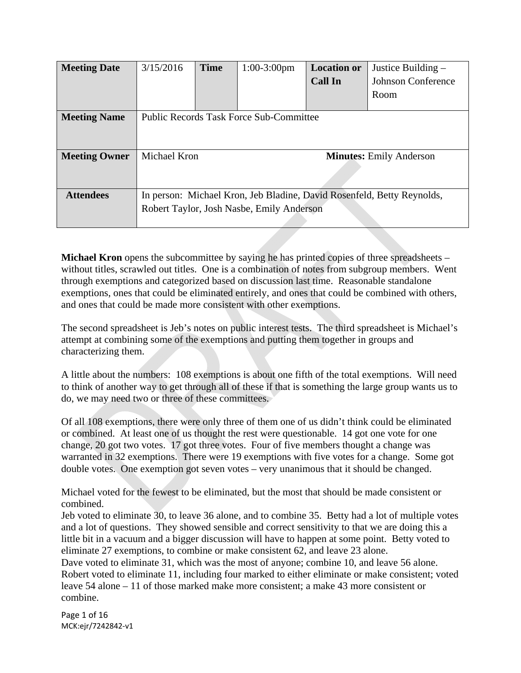| <b>Meeting Date</b>  | 3/15/2016                                                              | <b>Time</b> | $1:00-3:00$ pm | <b>Location or</b> | Justice Building –        |
|----------------------|------------------------------------------------------------------------|-------------|----------------|--------------------|---------------------------|
|                      |                                                                        |             |                | <b>Call In</b>     | <b>Johnson Conference</b> |
|                      |                                                                        |             |                |                    | Room                      |
|                      |                                                                        |             |                |                    |                           |
| <b>Meeting Name</b>  | <b>Public Records Task Force Sub-Committee</b>                         |             |                |                    |                           |
|                      |                                                                        |             |                |                    |                           |
|                      |                                                                        |             |                |                    |                           |
| <b>Meeting Owner</b> | Michael Kron<br><b>Minutes:</b> Emily Anderson                         |             |                |                    |                           |
|                      |                                                                        |             |                |                    |                           |
|                      |                                                                        |             |                |                    |                           |
|                      |                                                                        |             |                |                    |                           |
| <b>Attendees</b>     | In person: Michael Kron, Jeb Bladine, David Rosenfeld, Betty Reynolds, |             |                |                    |                           |
|                      | Robert Taylor, Josh Nasbe, Emily Anderson                              |             |                |                    |                           |
|                      |                                                                        |             |                |                    |                           |

**Michael Kron** opens the subcommittee by saying he has printed copies of three spreadsheets – without titles, scrawled out titles. One is a combination of notes from subgroup members. Went through exemptions and categorized based on discussion last time. Reasonable standalone exemptions, ones that could be eliminated entirely, and ones that could be combined with others, and ones that could be made more consistent with other exemptions.

The second spreadsheet is Jeb's notes on public interest tests. The third spreadsheet is Michael's attempt at combining some of the exemptions and putting them together in groups and characterizing them.

A little about the numbers: 108 exemptions is about one fifth of the total exemptions. Will need to think of another way to get through all of these if that is something the large group wants us to do, we may need two or three of these committees.

Of all 108 exemptions, there were only three of them one of us didn't think could be eliminated or combined. At least one of us thought the rest were questionable. 14 got one vote for one change, 20 got two votes. 17 got three votes. Four of five members thought a change was warranted in 32 exemptions. There were 19 exemptions with five votes for a change. Some got double votes. One exemption got seven votes – very unanimous that it should be changed.

Michael voted for the fewest to be eliminated, but the most that should be made consistent or combined.

Jeb voted to eliminate 30, to leave 36 alone, and to combine 35. Betty had a lot of multiple votes and a lot of questions. They showed sensible and correct sensitivity to that we are doing this a little bit in a vacuum and a bigger discussion will have to happen at some point. Betty voted to eliminate 27 exemptions, to combine or make consistent 62, and leave 23 alone.

Dave voted to eliminate 31, which was the most of anyone; combine 10, and leave 56 alone. Robert voted to eliminate 11, including four marked to either eliminate or make consistent; voted leave 54 alone – 11 of those marked make more consistent; a make 43 more consistent or combine.

Page 1 of 16 MCK:ejr/7242842‐v1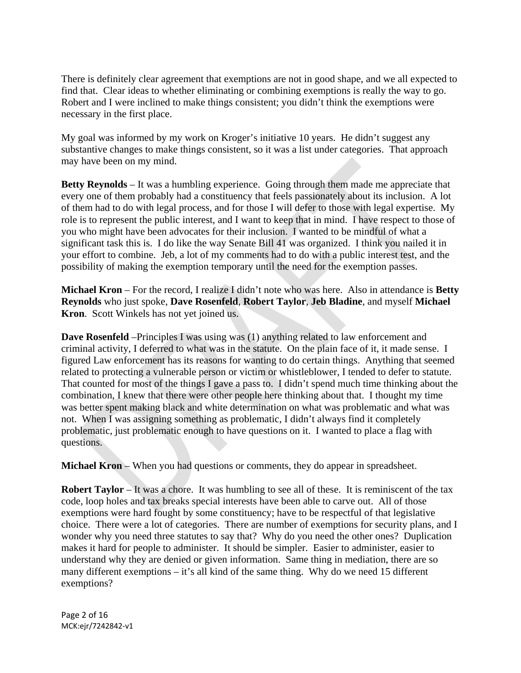There is definitely clear agreement that exemptions are not in good shape, and we all expected to find that. Clear ideas to whether eliminating or combining exemptions is really the way to go. Robert and I were inclined to make things consistent; you didn't think the exemptions were necessary in the first place.

My goal was informed by my work on Kroger's initiative 10 years. He didn't suggest any substantive changes to make things consistent, so it was a list under categories. That approach may have been on my mind.

**Betty Reynolds** – It was a humbling experience. Going through them made me appreciate that every one of them probably had a constituency that feels passionately about its inclusion. A lot of them had to do with legal process, and for those I will defer to those with legal expertise. My role is to represent the public interest, and I want to keep that in mind. I have respect to those of you who might have been advocates for their inclusion. I wanted to be mindful of what a significant task this is. I do like the way Senate Bill 41 was organized. I think you nailed it in your effort to combine. Jeb, a lot of my comments had to do with a public interest test, and the possibility of making the exemption temporary until the need for the exemption passes.

**Michael Kron** – For the record, I realize I didn't note who was here. Also in attendance is **Betty Reynolds** who just spoke, **Dave Rosenfeld**, **Robert Taylor**, **Jeb Bladine**, and myself **Michael Kron**. Scott Winkels has not yet joined us.

**Dave Rosenfeld** –Principles I was using was (1) anything related to law enforcement and criminal activity, I deferred to what was in the statute. On the plain face of it, it made sense. I figured Law enforcement has its reasons for wanting to do certain things. Anything that seemed related to protecting a vulnerable person or victim or whistleblower, I tended to defer to statute. That counted for most of the things I gave a pass to. I didn't spend much time thinking about the combination, I knew that there were other people here thinking about that. I thought my time was better spent making black and white determination on what was problematic and what was not. When I was assigning something as problematic, I didn't always find it completely problematic, just problematic enough to have questions on it. I wanted to place a flag with questions.

**Michael Kron** – When you had questions or comments, they do appear in spreadsheet.

**Robert Taylor** – It was a chore. It was humbling to see all of these. It is reminiscent of the tax code, loop holes and tax breaks special interests have been able to carve out. All of those exemptions were hard fought by some constituency; have to be respectful of that legislative choice. There were a lot of categories. There are number of exemptions for security plans, and I wonder why you need three statutes to say that? Why do you need the other ones? Duplication makes it hard for people to administer. It should be simpler. Easier to administer, easier to understand why they are denied or given information. Same thing in mediation, there are so many different exemptions – it's all kind of the same thing. Why do we need 15 different exemptions?

Page 2 of 16 MCK:ejr/7242842‐v1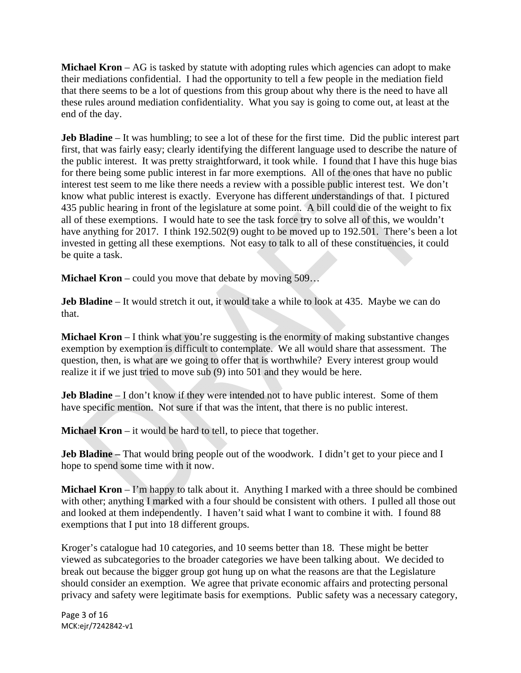**Michael Kron** – AG is tasked by statute with adopting rules which agencies can adopt to make their mediations confidential. I had the opportunity to tell a few people in the mediation field that there seems to be a lot of questions from this group about why there is the need to have all these rules around mediation confidentiality. What you say is going to come out, at least at the end of the day.

**Jeb Bladine** – It was humbling; to see a lot of these for the first time. Did the public interest part first, that was fairly easy; clearly identifying the different language used to describe the nature of the public interest. It was pretty straightforward, it took while. I found that I have this huge bias for there being some public interest in far more exemptions. All of the ones that have no public interest test seem to me like there needs a review with a possible public interest test. We don't know what public interest is exactly. Everyone has different understandings of that. I pictured 435 public hearing in front of the legislature at some point. A bill could die of the weight to fix all of these exemptions. I would hate to see the task force try to solve all of this, we wouldn't have anything for 2017. I think 192.502(9) ought to be moved up to 192.501. There's been a lot invested in getting all these exemptions. Not easy to talk to all of these constituencies, it could be quite a task.

**Michael Kron** – could you move that debate by moving 509...

**Jeb Bladine** – It would stretch it out, it would take a while to look at 435. Maybe we can do that.

**Michael Kron** – I think what you're suggesting is the enormity of making substantive changes exemption by exemption is difficult to contemplate. We all would share that assessment. The question, then, is what are we going to offer that is worthwhile? Every interest group would realize it if we just tried to move sub (9) into 501 and they would be here.

**Jeb Bladine** – I don't know if they were intended not to have public interest. Some of them have specific mention. Not sure if that was the intent, that there is no public interest.

**Michael Kron** – it would be hard to tell, to piece that together.

**Jeb Bladine** – That would bring people out of the woodwork. I didn't get to your piece and I hope to spend some time with it now.

**Michael Kron** – I'm happy to talk about it. Anything I marked with a three should be combined with other; anything I marked with a four should be consistent with others. I pulled all those out and looked at them independently. I haven't said what I want to combine it with. I found 88 exemptions that I put into 18 different groups.

Kroger's catalogue had 10 categories, and 10 seems better than 18. These might be better viewed as subcategories to the broader categories we have been talking about. We decided to break out because the bigger group got hung up on what the reasons are that the Legislature should consider an exemption. We agree that private economic affairs and protecting personal privacy and safety were legitimate basis for exemptions. Public safety was a necessary category,

Page 3 of 16 MCK:ejr/7242842‐v1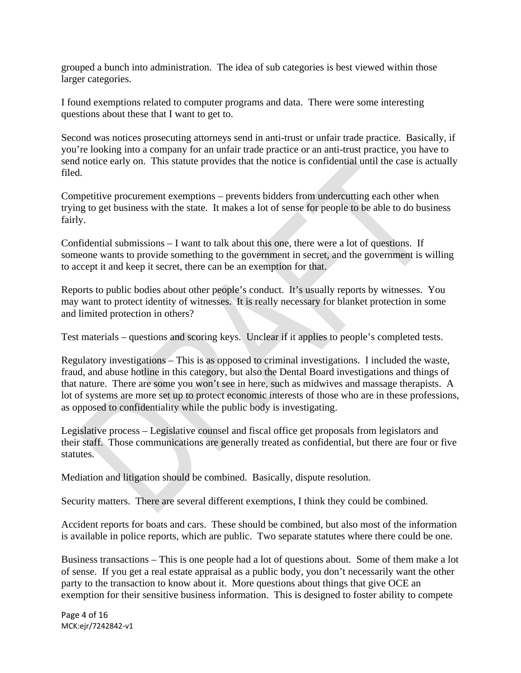grouped a bunch into administration. The idea of sub categories is best viewed within those larger categories.

I found exemptions related to computer programs and data. There were some interesting questions about these that I want to get to.

Second was notices prosecuting attorneys send in anti-trust or unfair trade practice. Basically, if you're looking into a company for an unfair trade practice or an anti-trust practice, you have to send notice early on. This statute provides that the notice is confidential until the case is actually filed.

Competitive procurement exemptions – prevents bidders from undercutting each other when trying to get business with the state. It makes a lot of sense for people to be able to do business fairly.

Confidential submissions – I want to talk about this one, there were a lot of questions. If someone wants to provide something to the government in secret, and the government is willing to accept it and keep it secret, there can be an exemption for that.

Reports to public bodies about other people's conduct. It's usually reports by witnesses. You may want to protect identity of witnesses. It is really necessary for blanket protection in some and limited protection in others?

Test materials – questions and scoring keys. Unclear if it applies to people's completed tests.

Regulatory investigations – This is as opposed to criminal investigations. I included the waste, fraud, and abuse hotline in this category, but also the Dental Board investigations and things of that nature. There are some you won't see in here, such as midwives and massage therapists. A lot of systems are more set up to protect economic interests of those who are in these professions, as opposed to confidentiality while the public body is investigating.

Legislative process – Legislative counsel and fiscal office get proposals from legislators and their staff. Those communications are generally treated as confidential, but there are four or five statutes.

Mediation and litigation should be combined. Basically, dispute resolution.

Security matters. There are several different exemptions, I think they could be combined.

Accident reports for boats and cars. These should be combined, but also most of the information is available in police reports, which are public. Two separate statutes where there could be one.

Business transactions – This is one people had a lot of questions about. Some of them make a lot of sense. If you get a real estate appraisal as a public body, you don't necessarily want the other party to the transaction to know about it. More questions about things that give OCE an exemption for their sensitive business information. This is designed to foster ability to compete

Page 4 of 16 MCK:ejr/7242842‐v1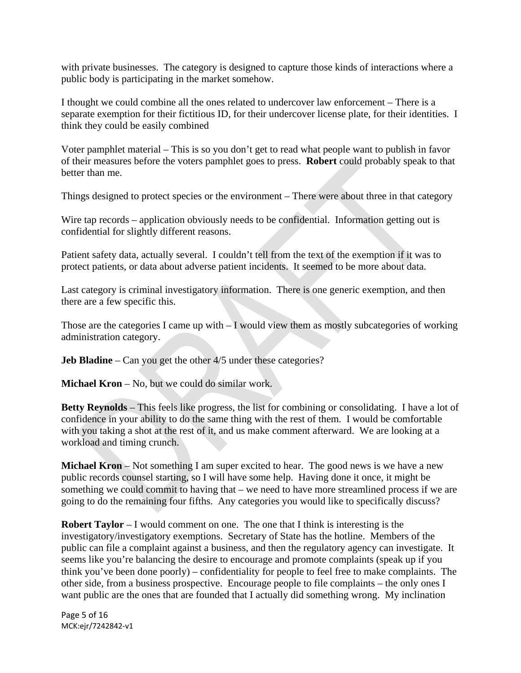with private businesses. The category is designed to capture those kinds of interactions where a public body is participating in the market somehow.

I thought we could combine all the ones related to undercover law enforcement – There is a separate exemption for their fictitious ID, for their undercover license plate, for their identities. I think they could be easily combined

Voter pamphlet material – This is so you don't get to read what people want to publish in favor of their measures before the voters pamphlet goes to press. **Robert** could probably speak to that better than me.

Things designed to protect species or the environment – There were about three in that category

Wire tap records – application obviously needs to be confidential. Information getting out is confidential for slightly different reasons.

Patient safety data, actually several. I couldn't tell from the text of the exemption if it was to protect patients, or data about adverse patient incidents. It seemed to be more about data.

Last category is criminal investigatory information. There is one generic exemption, and then there are a few specific this.

Those are the categories I came up with – I would view them as mostly subcategories of working administration category.

**Jeb Bladine** – Can you get the other  $4/5$  under these categories?

**Michael Kron** – No, but we could do similar work.

**Betty Reynolds** – This feels like progress, the list for combining or consolidating. I have a lot of confidence in your ability to do the same thing with the rest of them. I would be comfortable with you taking a shot at the rest of it, and us make comment afterward. We are looking at a workload and timing crunch.

**Michael Kron** – Not something I am super excited to hear. The good news is we have a new public records counsel starting, so I will have some help. Having done it once, it might be something we could commit to having that – we need to have more streamlined process if we are going to do the remaining four fifths. Any categories you would like to specifically discuss?

**Robert Taylor** – I would comment on one. The one that I think is interesting is the investigatory/investigatory exemptions. Secretary of State has the hotline. Members of the public can file a complaint against a business, and then the regulatory agency can investigate. It seems like you're balancing the desire to encourage and promote complaints (speak up if you think you've been done poorly) – confidentiality for people to feel free to make complaints. The other side, from a business prospective. Encourage people to file complaints – the only ones I want public are the ones that are founded that I actually did something wrong. My inclination

Page 5 of 16 MCK:ejr/7242842‐v1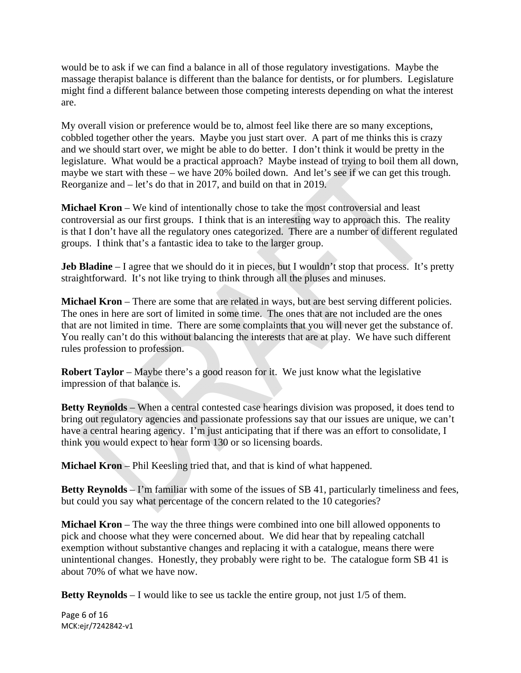would be to ask if we can find a balance in all of those regulatory investigations. Maybe the massage therapist balance is different than the balance for dentists, or for plumbers. Legislature might find a different balance between those competing interests depending on what the interest are.

My overall vision or preference would be to, almost feel like there are so many exceptions, cobbled together other the years. Maybe you just start over. A part of me thinks this is crazy and we should start over, we might be able to do better. I don't think it would be pretty in the legislature. What would be a practical approach? Maybe instead of trying to boil them all down, maybe we start with these – we have 20% boiled down. And let's see if we can get this trough. Reorganize and – let's do that in 2017, and build on that in 2019.

**Michael Kron** – We kind of intentionally chose to take the most controversial and least controversial as our first groups. I think that is an interesting way to approach this. The reality is that I don't have all the regulatory ones categorized. There are a number of different regulated groups. I think that's a fantastic idea to take to the larger group.

**Jeb Bladine** – I agree that we should do it in pieces, but I wouldn't stop that process. It's pretty straightforward. It's not like trying to think through all the pluses and minuses.

**Michael Kron** – There are some that are related in ways, but are best serving different policies. The ones in here are sort of limited in some time. The ones that are not included are the ones that are not limited in time. There are some complaints that you will never get the substance of. You really can't do this without balancing the interests that are at play. We have such different rules profession to profession.

**Robert Taylor** – Maybe there's a good reason for it. We just know what the legislative impression of that balance is.

**Betty Reynolds** – When a central contested case hearings division was proposed, it does tend to bring out regulatory agencies and passionate professions say that our issues are unique, we can't have a central hearing agency. I'm just anticipating that if there was an effort to consolidate, I think you would expect to hear form 130 or so licensing boards.

**Michael Kron** – Phil Keesling tried that, and that is kind of what happened.

**Betty Reynolds** – I'm familiar with some of the issues of SB 41, particularly timeliness and fees, but could you say what percentage of the concern related to the 10 categories?

**Michael Kron** – The way the three things were combined into one bill allowed opponents to pick and choose what they were concerned about. We did hear that by repealing catchall exemption without substantive changes and replacing it with a catalogue, means there were unintentional changes. Honestly, they probably were right to be. The catalogue form SB 41 is about 70% of what we have now.

**Betty Reynolds** – I would like to see us tackle the entire group, not just 1/5 of them.

Page 6 of 16 MCK:ejr/7242842‐v1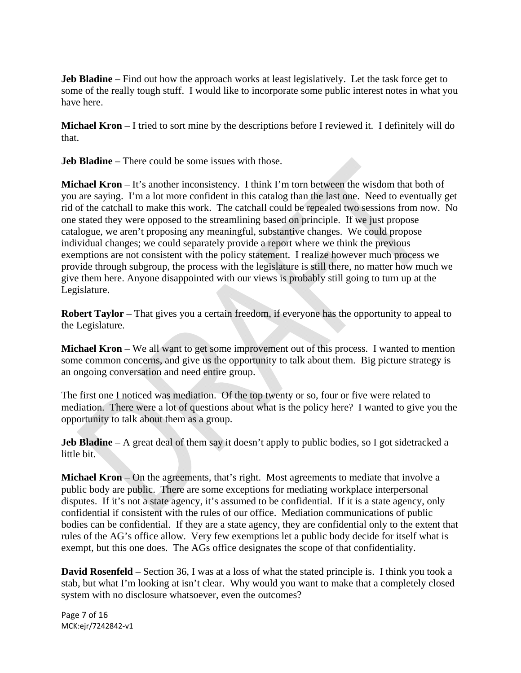**Jeb Bladine** – Find out how the approach works at least legislatively. Let the task force get to some of the really tough stuff. I would like to incorporate some public interest notes in what you have here.

**Michael Kron** – I tried to sort mine by the descriptions before I reviewed it. I definitely will do that.

**Jeb Bladine** – There could be some issues with those.

**Michael Kron** – It's another inconsistency. I think I'm torn between the wisdom that both of you are saying. I'm a lot more confident in this catalog than the last one. Need to eventually get rid of the catchall to make this work. The catchall could be repealed two sessions from now. No one stated they were opposed to the streamlining based on principle. If we just propose catalogue, we aren't proposing any meaningful, substantive changes. We could propose individual changes; we could separately provide a report where we think the previous exemptions are not consistent with the policy statement. I realize however much process we provide through subgroup, the process with the legislature is still there, no matter how much we give them here. Anyone disappointed with our views is probably still going to turn up at the Legislature.

**Robert Taylor** – That gives you a certain freedom, if everyone has the opportunity to appeal to the Legislature.

**Michael Kron** – We all want to get some improvement out of this process. I wanted to mention some common concerns, and give us the opportunity to talk about them. Big picture strategy is an ongoing conversation and need entire group.

The first one I noticed was mediation. Of the top twenty or so, four or five were related to mediation. There were a lot of questions about what is the policy here? I wanted to give you the opportunity to talk about them as a group.

**Jeb Bladine** – A great deal of them say it doesn't apply to public bodies, so I got sidetracked a little bit.

**Michael Kron** – On the agreements, that's right. Most agreements to mediate that involve a public body are public. There are some exceptions for mediating workplace interpersonal disputes. If it's not a state agency, it's assumed to be confidential. If it is a state agency, only confidential if consistent with the rules of our office. Mediation communications of public bodies can be confidential. If they are a state agency, they are confidential only to the extent that rules of the AG's office allow. Very few exemptions let a public body decide for itself what is exempt, but this one does. The AGs office designates the scope of that confidentiality.

**David Rosenfeld** – Section 36, I was at a loss of what the stated principle is. I think you took a stab, but what I'm looking at isn't clear. Why would you want to make that a completely closed system with no disclosure whatsoever, even the outcomes?

Page 7 of 16 MCK:ejr/7242842‐v1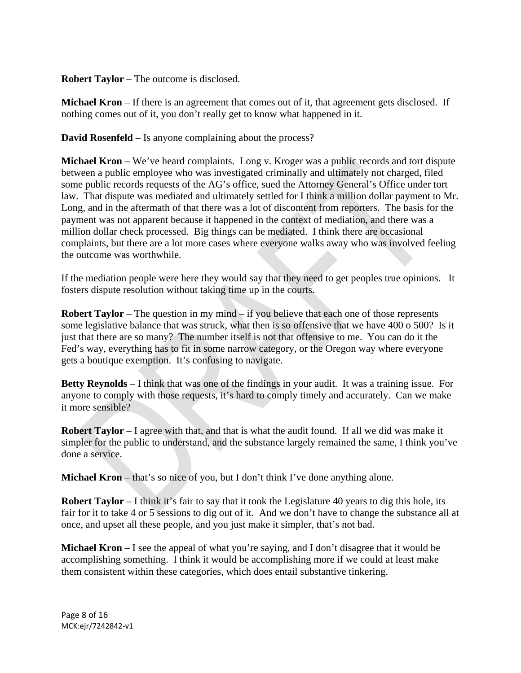**Robert Taylor** – The outcome is disclosed.

**Michael Kron** – If there is an agreement that comes out of it, that agreement gets disclosed. If nothing comes out of it, you don't really get to know what happened in it.

**David Rosenfeld** – Is anyone complaining about the process?

**Michael Kron** – We've heard complaints. Long v. Kroger was a public records and tort dispute between a public employee who was investigated criminally and ultimately not charged, filed some public records requests of the AG's office, sued the Attorney General's Office under tort law. That dispute was mediated and ultimately settled for I think a million dollar payment to Mr. Long, and in the aftermath of that there was a lot of discontent from reporters. The basis for the payment was not apparent because it happened in the context of mediation, and there was a million dollar check processed. Big things can be mediated. I think there are occasional complaints, but there are a lot more cases where everyone walks away who was involved feeling the outcome was worthwhile.

If the mediation people were here they would say that they need to get peoples true opinions. It fosters dispute resolution without taking time up in the courts.

**Robert Taylor** – The question in my mind – if you believe that each one of those represents some legislative balance that was struck, what then is so offensive that we have 400 o 500? Is it just that there are so many? The number itself is not that offensive to me. You can do it the Fed's way, everything has to fit in some narrow category, or the Oregon way where everyone gets a boutique exemption. It's confusing to navigate.

**Betty Reynolds** – I think that was one of the findings in your audit. It was a training issue. For anyone to comply with those requests, it's hard to comply timely and accurately. Can we make it more sensible?

**Robert Taylor** – I agree with that, and that is what the audit found. If all we did was make it simpler for the public to understand, and the substance largely remained the same, I think you've done a service.

**Michael Kron** – that's so nice of you, but I don't think I've done anything alone.

**Robert Taylor** – I think it's fair to say that it took the Legislature 40 years to dig this hole, its fair for it to take 4 or 5 sessions to dig out of it. And we don't have to change the substance all at once, and upset all these people, and you just make it simpler, that's not bad.

**Michael Kron** – I see the appeal of what you're saying, and I don't disagree that it would be accomplishing something. I think it would be accomplishing more if we could at least make them consistent within these categories, which does entail substantive tinkering.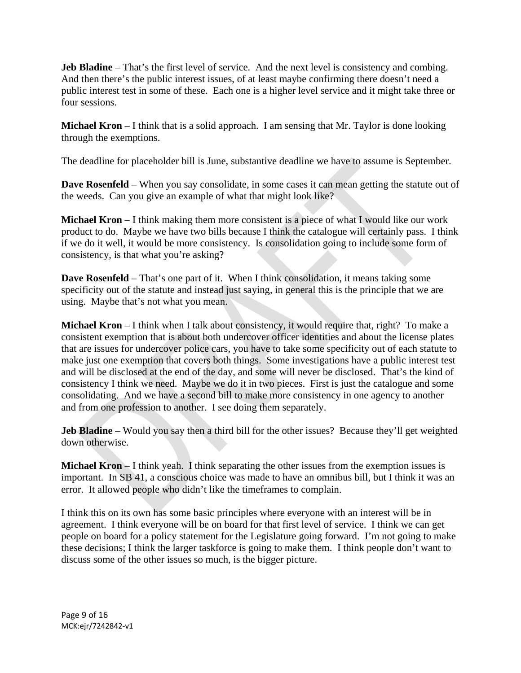**Jeb Bladine** – That's the first level of service. And the next level is consistency and combing. And then there's the public interest issues, of at least maybe confirming there doesn't need a public interest test in some of these. Each one is a higher level service and it might take three or four sessions.

**Michael Kron** – I think that is a solid approach. I am sensing that Mr. Taylor is done looking through the exemptions.

The deadline for placeholder bill is June, substantive deadline we have to assume is September.

**Dave Rosenfeld** – When you say consolidate, in some cases it can mean getting the statute out of the weeds. Can you give an example of what that might look like?

**Michael Kron** – I think making them more consistent is a piece of what I would like our work product to do. Maybe we have two bills because I think the catalogue will certainly pass. I think if we do it well, it would be more consistency. Is consolidation going to include some form of consistency, is that what you're asking?

**Dave Rosenfeld** – That's one part of it. When I think consolidation, it means taking some specificity out of the statute and instead just saying, in general this is the principle that we are using. Maybe that's not what you mean.

**Michael Kron** – I think when I talk about consistency, it would require that, right? To make a consistent exemption that is about both undercover officer identities and about the license plates that are issues for undercover police cars, you have to take some specificity out of each statute to make just one exemption that covers both things. Some investigations have a public interest test and will be disclosed at the end of the day, and some will never be disclosed. That's the kind of consistency I think we need. Maybe we do it in two pieces. First is just the catalogue and some consolidating. And we have a second bill to make more consistency in one agency to another and from one profession to another. I see doing them separately.

**Jeb Bladine** – Would you say then a third bill for the other issues? Because they'll get weighted down otherwise.

**Michael Kron** – I think yeah. I think separating the other issues from the exemption issues is important. In SB 41, a conscious choice was made to have an omnibus bill, but I think it was an error. It allowed people who didn't like the timeframes to complain.

I think this on its own has some basic principles where everyone with an interest will be in agreement. I think everyone will be on board for that first level of service. I think we can get people on board for a policy statement for the Legislature going forward. I'm not going to make these decisions; I think the larger taskforce is going to make them. I think people don't want to discuss some of the other issues so much, is the bigger picture.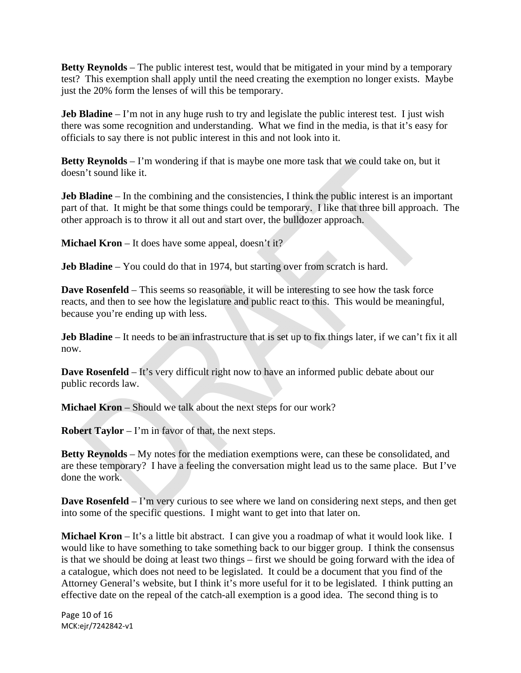**Betty Reynolds** – The public interest test, would that be mitigated in your mind by a temporary test? This exemption shall apply until the need creating the exemption no longer exists. Maybe just the 20% form the lenses of will this be temporary.

**Jeb Bladine** – I'm not in any huge rush to try and legislate the public interest test. I just wish there was some recognition and understanding. What we find in the media, is that it's easy for officials to say there is not public interest in this and not look into it.

**Betty Reynolds** – I'm wondering if that is maybe one more task that we could take on, but it doesn't sound like it.

**Jeb Bladine** – In the combining and the consistencies, I think the public interest is an important part of that. It might be that some things could be temporary. I like that three bill approach. The other approach is to throw it all out and start over, the bulldozer approach.

**Michael Kron** – It does have some appeal, doesn't it?

**Jeb Bladine** – You could do that in 1974, but starting over from scratch is hard.

**Dave Rosenfeld** – This seems so reasonable, it will be interesting to see how the task force reacts, and then to see how the legislature and public react to this. This would be meaningful, because you're ending up with less.

**Jeb Bladine** – It needs to be an infrastructure that is set up to fix things later, if we can't fix it all now.

**Dave Rosenfeld** – It's very difficult right now to have an informed public debate about our public records law.

**Michael Kron** – Should we talk about the next steps for our work?

**Robert Taylor** – I'm in favor of that, the next steps.

**Betty Reynolds** – My notes for the mediation exemptions were, can these be consolidated, and are these temporary? I have a feeling the conversation might lead us to the same place. But I've done the work.

**Dave Rosenfeld** – I'm very curious to see where we land on considering next steps, and then get into some of the specific questions. I might want to get into that later on.

**Michael Kron** – It's a little bit abstract. I can give you a roadmap of what it would look like. I would like to have something to take something back to our bigger group. I think the consensus is that we should be doing at least two things – first we should be going forward with the idea of a catalogue, which does not need to be legislated. It could be a document that you find of the Attorney General's website, but I think it's more useful for it to be legislated. I think putting an effective date on the repeal of the catch-all exemption is a good idea. The second thing is to

Page 10 of 16 MCK:ejr/7242842‐v1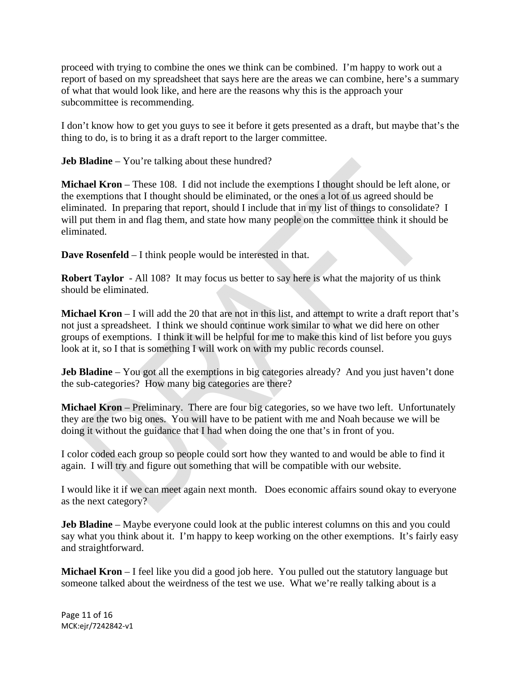proceed with trying to combine the ones we think can be combined. I'm happy to work out a report of based on my spreadsheet that says here are the areas we can combine, here's a summary of what that would look like, and here are the reasons why this is the approach your subcommittee is recommending.

I don't know how to get you guys to see it before it gets presented as a draft, but maybe that's the thing to do, is to bring it as a draft report to the larger committee.

**Jeb Bladine** – You're talking about these hundred?

**Michael Kron** – These 108. I did not include the exemptions I thought should be left alone, or the exemptions that I thought should be eliminated, or the ones a lot of us agreed should be eliminated. In preparing that report, should I include that in my list of things to consolidate? I will put them in and flag them, and state how many people on the committee think it should be eliminated.

**Dave Rosenfeld** – I think people would be interested in that.

**Robert Taylor** - All 108? It may focus us better to say here is what the majority of us think should be eliminated.

**Michael Kron** – I will add the 20 that are not in this list, and attempt to write a draft report that's not just a spreadsheet. I think we should continue work similar to what we did here on other groups of exemptions. I think it will be helpful for me to make this kind of list before you guys look at it, so I that is something I will work on with my public records counsel.

**Jeb Bladine** – You got all the exemptions in big categories already? And you just haven't done the sub-categories? How many big categories are there?

**Michael Kron** – Preliminary. There are four big categories, so we have two left. Unfortunately they are the two big ones. You will have to be patient with me and Noah because we will be doing it without the guidance that I had when doing the one that's in front of you.

I color coded each group so people could sort how they wanted to and would be able to find it again. I will try and figure out something that will be compatible with our website.

I would like it if we can meet again next month. Does economic affairs sound okay to everyone as the next category?

**Jeb Bladine** – Maybe everyone could look at the public interest columns on this and you could say what you think about it. I'm happy to keep working on the other exemptions. It's fairly easy and straightforward.

**Michael Kron** – I feel like you did a good job here. You pulled out the statutory language but someone talked about the weirdness of the test we use. What we're really talking about is a

Page 11 of 16 MCK:ejr/7242842‐v1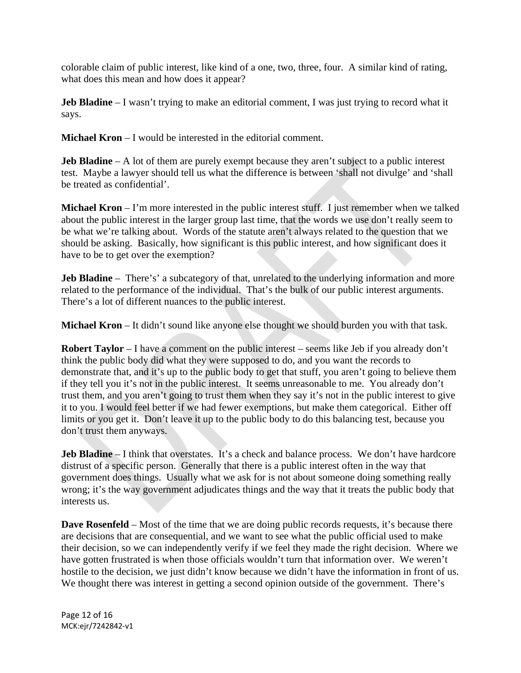colorable claim of public interest, like kind of a one, two, three, four. A similar kind of rating, what does this mean and how does it appear?

**Jeb Bladine** – I wasn't trying to make an editorial comment, I was just trying to record what it says.

**Michael Kron** – I would be interested in the editorial comment.

**Jeb Bladine** – A lot of them are purely exempt because they aren't subject to a public interest test. Maybe a lawyer should tell us what the difference is between 'shall not divulge' and 'shall be treated as confidential'.

**Michael Kron** – I'm more interested in the public interest stuff. I just remember when we talked about the public interest in the larger group last time, that the words we use don't really seem to be what we're talking about. Words of the statute aren't always related to the question that we should be asking. Basically, how significant is this public interest, and how significant does it have to be to get over the exemption?

**Jeb Bladine** – There's' a subcategory of that, unrelated to the underlying information and more related to the performance of the individual. That's the bulk of our public interest arguments. There's a lot of different nuances to the public interest.

**Michael Kron** – It didn't sound like anyone else thought we should burden you with that task.

**Robert Taylor** – I have a comment on the public interest – seems like Jeb if you already don't think the public body did what they were supposed to do, and you want the records to demonstrate that, and it's up to the public body to get that stuff, you aren't going to believe them if they tell you it's not in the public interest. It seems unreasonable to me. You already don't trust them, and you aren't going to trust them when they say it's not in the public interest to give it to you. I would feel better if we had fewer exemptions, but make them categorical. Either off limits or you get it. Don't leave it up to the public body to do this balancing test, because you don't trust them anyways.

**Jeb Bladine** – I think that overstates. It's a check and balance process. We don't have hardcore distrust of a specific person. Generally that there is a public interest often in the way that government does things. Usually what we ask for is not about someone doing something really wrong; it's the way government adjudicates things and the way that it treats the public body that interests us.

**Dave Rosenfeld** – Most of the time that we are doing public records requests, it's because there are decisions that are consequential, and we want to see what the public official used to make their decision, so we can independently verify if we feel they made the right decision. Where we have gotten frustrated is when those officials wouldn't turn that information over. We weren't hostile to the decision, we just didn't know because we didn't have the information in front of us. We thought there was interest in getting a second opinion outside of the government. There's

Page 12 of 16 MCK:ejr/7242842‐v1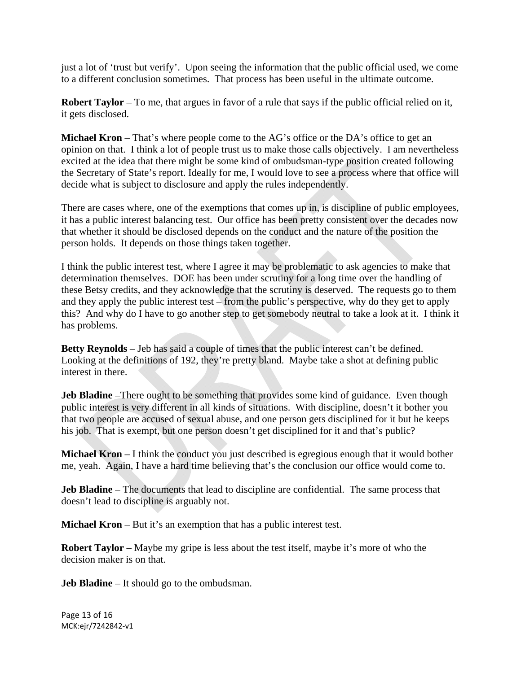just a lot of 'trust but verify'. Upon seeing the information that the public official used, we come to a different conclusion sometimes. That process has been useful in the ultimate outcome.

**Robert Taylor** – To me, that argues in favor of a rule that says if the public official relied on it, it gets disclosed.

**Michael Kron** – That's where people come to the AG's office or the DA's office to get an opinion on that. I think a lot of people trust us to make those calls objectively. I am nevertheless excited at the idea that there might be some kind of ombudsman-type position created following the Secretary of State's report. Ideally for me, I would love to see a process where that office will decide what is subject to disclosure and apply the rules independently.

There are cases where, one of the exemptions that comes up in, is discipline of public employees, it has a public interest balancing test. Our office has been pretty consistent over the decades now that whether it should be disclosed depends on the conduct and the nature of the position the person holds. It depends on those things taken together.

I think the public interest test, where I agree it may be problematic to ask agencies to make that determination themselves. DOE has been under scrutiny for a long time over the handling of these Betsy credits, and they acknowledge that the scrutiny is deserved. The requests go to them and they apply the public interest test – from the public's perspective, why do they get to apply this? And why do I have to go another step to get somebody neutral to take a look at it. I think it has problems.

**Betty Reynolds** – Jeb has said a couple of times that the public interest can't be defined. Looking at the definitions of 192, they're pretty bland. Maybe take a shot at defining public interest in there.

**Jeb Bladine** –There ought to be something that provides some kind of guidance. Even though public interest is very different in all kinds of situations. With discipline, doesn't it bother you that two people are accused of sexual abuse, and one person gets disciplined for it but he keeps his job. That is exempt, but one person doesn't get disciplined for it and that's public?

**Michael Kron** – I think the conduct you just described is egregious enough that it would bother me, yeah. Again, I have a hard time believing that's the conclusion our office would come to.

**Jeb Bladine** – The documents that lead to discipline are confidential. The same process that doesn't lead to discipline is arguably not.

**Michael Kron** – But it's an exemption that has a public interest test.

**Robert Taylor** – Maybe my gripe is less about the test itself, maybe it's more of who the decision maker is on that.

**Jeb Bladine** – It should go to the ombudsman.

Page 13 of 16 MCK:ejr/7242842‐v1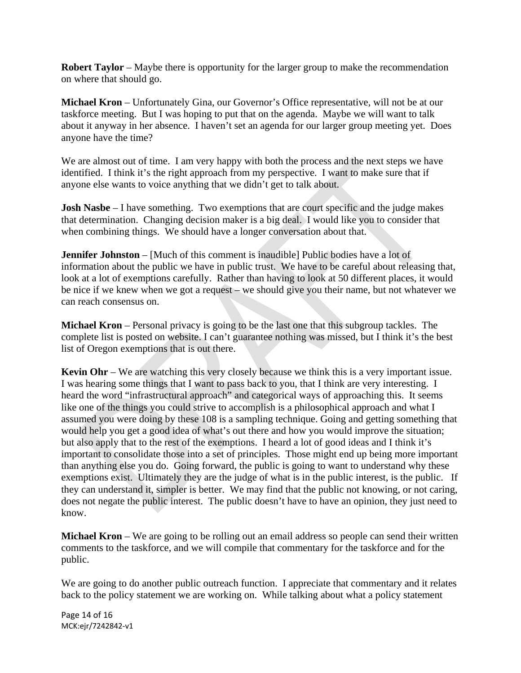**Robert Taylor** – Maybe there is opportunity for the larger group to make the recommendation on where that should go.

**Michael Kron** – Unfortunately Gina, our Governor's Office representative, will not be at our taskforce meeting. But I was hoping to put that on the agenda. Maybe we will want to talk about it anyway in her absence. I haven't set an agenda for our larger group meeting yet. Does anyone have the time?

We are almost out of time. I am very happy with both the process and the next steps we have identified. I think it's the right approach from my perspective. I want to make sure that if anyone else wants to voice anything that we didn't get to talk about.

**Josh Nasbe** – I have something. Two exemptions that are court specific and the judge makes that determination. Changing decision maker is a big deal. I would like you to consider that when combining things. We should have a longer conversation about that.

**Jennifer Johnston** – [Much of this comment is inaudible] Public bodies have a lot of information about the public we have in public trust. We have to be careful about releasing that, look at a lot of exemptions carefully. Rather than having to look at 50 different places, it would be nice if we knew when we got a request – we should give you their name, but not whatever we can reach consensus on.

**Michael Kron** – Personal privacy is going to be the last one that this subgroup tackles. The complete list is posted on website. I can't guarantee nothing was missed, but I think it's the best list of Oregon exemptions that is out there.

**Kevin Ohr** – We are watching this very closely because we think this is a very important issue. I was hearing some things that I want to pass back to you, that I think are very interesting. I heard the word "infrastructural approach" and categorical ways of approaching this. It seems like one of the things you could strive to accomplish is a philosophical approach and what I assumed you were doing by these 108 is a sampling technique. Going and getting something that would help you get a good idea of what's out there and how you would improve the situation; but also apply that to the rest of the exemptions. I heard a lot of good ideas and I think it's important to consolidate those into a set of principles. Those might end up being more important than anything else you do. Going forward, the public is going to want to understand why these exemptions exist. Ultimately they are the judge of what is in the public interest, is the public. If they can understand it, simpler is better. We may find that the public not knowing, or not caring, does not negate the public interest. The public doesn't have to have an opinion, they just need to know.

**Michael Kron** – We are going to be rolling out an email address so people can send their written comments to the taskforce, and we will compile that commentary for the taskforce and for the public.

We are going to do another public outreach function. I appreciate that commentary and it relates back to the policy statement we are working on. While talking about what a policy statement

Page 14 of 16 MCK:ejr/7242842‐v1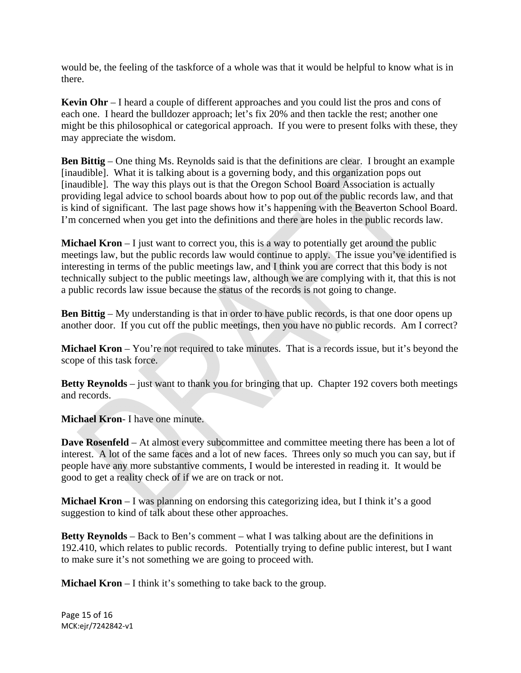would be, the feeling of the taskforce of a whole was that it would be helpful to know what is in there.

**Kevin Ohr** – I heard a couple of different approaches and you could list the pros and cons of each one. I heard the bulldozer approach; let's fix 20% and then tackle the rest; another one might be this philosophical or categorical approach. If you were to present folks with these, they may appreciate the wisdom.

**Ben Bittig** – One thing Ms. Reynolds said is that the definitions are clear. I brought an example [inaudible]. What it is talking about is a governing body, and this organization pops out [inaudible]. The way this plays out is that the Oregon School Board Association is actually providing legal advice to school boards about how to pop out of the public records law, and that is kind of significant. The last page shows how it's happening with the Beaverton School Board. I'm concerned when you get into the definitions and there are holes in the public records law.

**Michael Kron** – I just want to correct you, this is a way to potentially get around the public meetings law, but the public records law would continue to apply. The issue you've identified is interesting in terms of the public meetings law, and I think you are correct that this body is not technically subject to the public meetings law, although we are complying with it, that this is not a public records law issue because the status of the records is not going to change.

**Ben Bittig** – My understanding is that in order to have public records, is that one door opens up another door. If you cut off the public meetings, then you have no public records. Am I correct?

**Michael Kron** – You're not required to take minutes. That is a records issue, but it's beyond the scope of this task force.

**Betty Reynolds** – just want to thank you for bringing that up. Chapter 192 covers both meetings and records.

**Michael Kron**- I have one minute.

**Dave Rosenfeld** – At almost every subcommittee and committee meeting there has been a lot of interest. A lot of the same faces and a lot of new faces. Threes only so much you can say, but if people have any more substantive comments, I would be interested in reading it. It would be good to get a reality check of if we are on track or not.

**Michael Kron** – I was planning on endorsing this categorizing idea, but I think it's a good suggestion to kind of talk about these other approaches.

**Betty Reynolds** – Back to Ben's comment – what I was talking about are the definitions in 192.410, which relates to public records. Potentially trying to define public interest, but I want to make sure it's not something we are going to proceed with.

**Michael Kron** – I think it's something to take back to the group.

Page 15 of 16 MCK:ejr/7242842‐v1